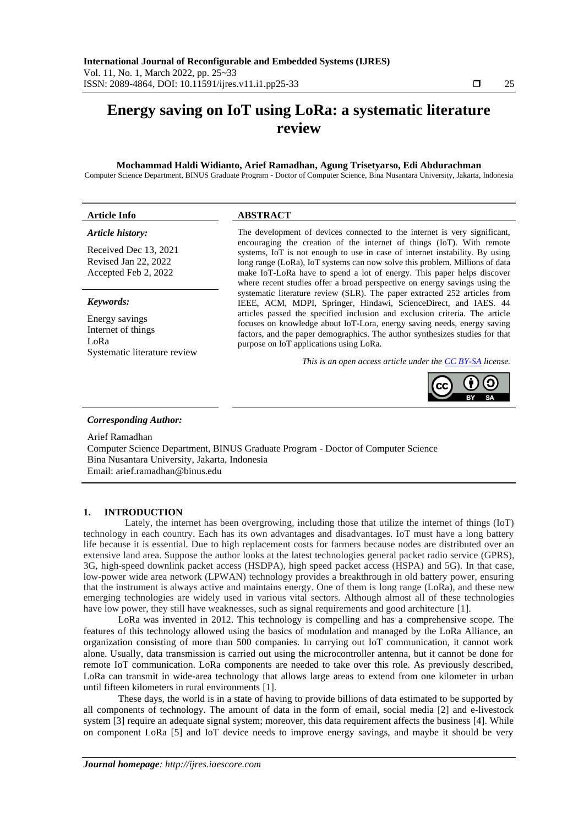# **Energy saving on IoT using LoRa: a systematic literature review**

#### **Mochammad Haldi Widianto, Arief Ramadhan, Agung Trisetyarso, Edi Abdurachman**

Computer Science Department, BINUS Graduate Program - Doctor of Computer Science, Bina Nusantara University, Jakarta, Indonesia

## **Article Info ABSTRACT** *Article history:*

Received Dec 13, 2021 Revised Jan 22, 2022 Accepted Feb 2, 2022

#### *Keywords:*

Energy savings Internet of things LoRa Systematic literature review The development of devices connected to the internet is very significant, encouraging the creation of the internet of things (IoT). With remote systems, IoT is not enough to use in case of internet instability. By using long range (LoRa), IoT systems can now solve this problem. Millions of data make IoT-LoRa have to spend a lot of energy. This paper helps discover where recent studies offer a broad perspective on energy savings using the systematic literature review (SLR). The paper extracted 252 articles from IEEE, ACM, MDPI, Springer, Hindawi, ScienceDirect, and IAES. 44 articles passed the specified inclusion and exclusion criteria. The article focuses on knowledge about IoT-Lora, energy saving needs, energy saving factors, and the paper demographics. The author synthesizes studies for that purpose on IoT applications using LoRa.

*This is an open access article under the [CC BY-SA](https://creativecommons.org/licenses/by-sa/4.0/) license.*



## *Corresponding Author:*

Arief Ramadhan

Computer Science Department, BINUS Graduate Program - Doctor of Computer Science Bina Nusantara University, Jakarta, Indonesia Email: arief.ramadhan@binus.edu

## **1. INTRODUCTION**

Lately, the internet has been overgrowing, including those that utilize the internet of things (IoT) technology in each country. Each has its own advantages and disadvantages. IoT must have a long battery life because it is essential. Due to high replacement costs for farmers because nodes are distributed over an extensive land area. Suppose the author looks at the latest technologies general packet radio service (GPRS), 3G, high-speed downlink packet access (HSDPA), high speed packet access (HSPA) and 5G). In that case, low-power wide area network (LPWAN) technology provides a breakthrough in old battery power, ensuring that the instrument is always active and maintains energy. One of them is long range (LoRa), and these new emerging technologies are widely used in various vital sectors. Although almost all of these technologies have low power, they still have weaknesses, such as signal requirements and good architecture [1].

LoRa was invented in 2012. This technology is compelling and has a comprehensive scope. The features of this technology allowed using the basics of modulation and managed by the LoRa Alliance, an organization consisting of more than 500 companies. In carrying out IoT communication, it cannot work alone. Usually, data transmission is carried out using the microcontroller antenna, but it cannot be done for remote IoT communication. LoRa components are needed to take over this role. As previously described, LoRa can transmit in wide-area technology that allows large areas to extend from one kilometer in urban until fifteen kilometers in rural environments [1].

These days, the world is in a state of having to provide billions of data estimated to be supported by all components of technology. The amount of data in the form of email, social media [2] and e-livestock system [3] require an adequate signal system; moreover, this data requirement affects the business [4]. While on component LoRa [5] and IoT device needs to improve energy savings, and maybe it should be very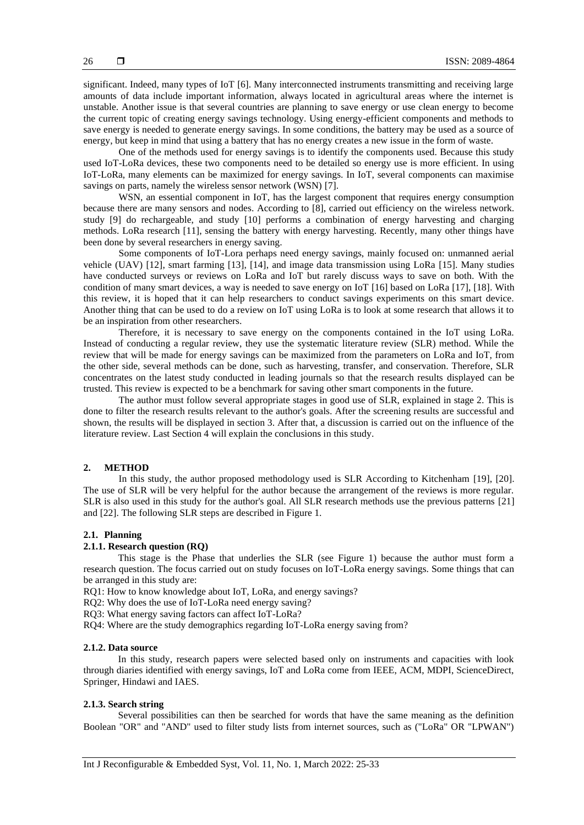significant. Indeed, many types of IoT [6]. Many interconnected instruments transmitting and receiving large amounts of data include important information, always located in agricultural areas where the internet is unstable. Another issue is that several countries are planning to save energy or use clean energy to become the current topic of creating energy savings technology. Using energy-efficient components and methods to save energy is needed to generate energy savings. In some conditions, the battery may be used as a source of energy, but keep in mind that using a battery that has no energy creates a new issue in the form of waste.

One of the methods used for energy savings is to identify the components used. Because this study used IoT-LoRa devices, these two components need to be detailed so energy use is more efficient. In using IoT-LoRa, many elements can be maximized for energy savings. In IoT, several components can maximise savings on parts, namely the wireless sensor network (WSN) [7].

WSN, an essential component in IoT, has the largest component that requires energy consumption because there are many sensors and nodes. According to [8], carried out efficiency on the wireless network. study [9] do rechargeable, and study [10] performs a combination of energy harvesting and charging methods. LoRa research [11], sensing the battery with energy harvesting. Recently, many other things have been done by several researchers in energy saving.

Some components of IoT-Lora perhaps need energy savings, mainly focused on: unmanned aerial vehicle (UAV) [12], smart farming [13], [14], and image data transmission using LoRa [15]. Many studies have conducted surveys or reviews on LoRa and IoT but rarely discuss ways to save on both. With the condition of many smart devices, a way is needed to save energy on IoT [16] based on LoRa [17], [18]. With this review, it is hoped that it can help researchers to conduct savings experiments on this smart device. Another thing that can be used to do a review on IoT using LoRa is to look at some research that allows it to be an inspiration from other researchers.

Therefore, it is necessary to save energy on the components contained in the IoT using LoRa. Instead of conducting a regular review, they use the systematic literature review (SLR) method. While the review that will be made for energy savings can be maximized from the parameters on LoRa and IoT, from the other side, several methods can be done, such as harvesting, transfer, and conservation. Therefore, SLR concentrates on the latest study conducted in leading journals so that the research results displayed can be trusted. This review is expected to be a benchmark for saving other smart components in the future.

The author must follow several appropriate stages in good use of SLR, explained in stage 2. This is done to filter the research results relevant to the author's goals. After the screening results are successful and shown, the results will be displayed in section 3. After that, a discussion is carried out on the influence of the literature review. Last Section 4 will explain the conclusions in this study.

#### **2. METHOD**

In this study, the author proposed methodology used is SLR According to Kitchenham [19], [20]. The use of SLR will be very helpful for the author because the arrangement of the reviews is more regular. SLR is also used in this study for the author's goal. All SLR research methods use the previous patterns [21] and [22]. The following SLR steps are described in Figure 1.

#### **2.1. Planning**

#### **2.1.1. Research question (RQ)**

This stage is the Phase that underlies the SLR (see Figure 1) because the author must form a research question. The focus carried out on study focuses on IoT-LoRa energy savings. Some things that can be arranged in this study are:

RQ1: How to know knowledge about IoT, LoRa, and energy savings?

RQ2: Why does the use of IoT-LoRa need energy saving?

RQ3: What energy saving factors can affect IoT-LoRa?

RQ4: Where are the study demographics regarding IoT-LoRa energy saving from?

#### **2.1.2. Data source**

In this study, research papers were selected based only on instruments and capacities with look through diaries identified with energy savings, IoT and LoRa come from IEEE, ACM, MDPI, ScienceDirect, Springer, Hindawi and IAES.

#### **2.1.3. Search string**

Several possibilities can then be searched for words that have the same meaning as the definition Boolean "OR" and "AND" used to filter study lists from internet sources, such as ("LoRa" OR "LPWAN")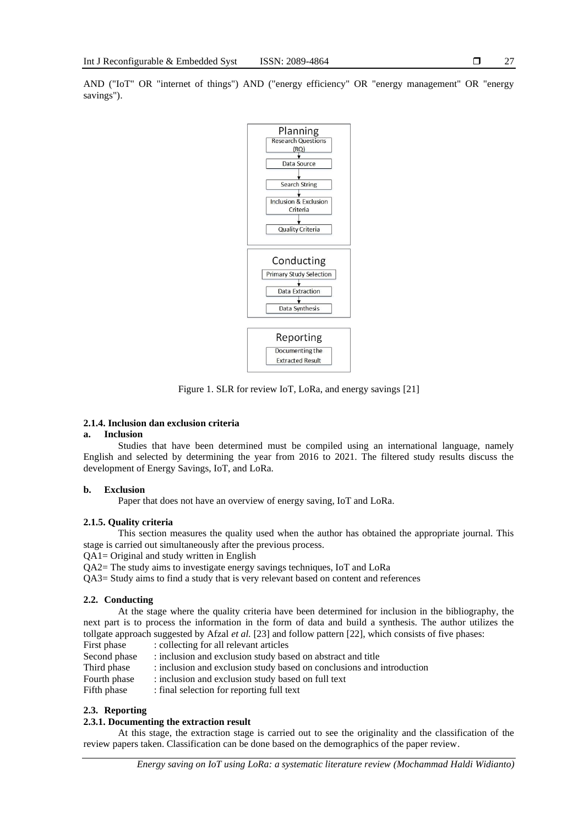Planning esearch Questions  $(RO)$ Data Source **Search String** Inclusion & Exclusion Criteria Quality Criteria Conducting Primary Study Selection Data Extraction Data Synthesis Reporting Documenting the **Extracted Result** 

Figure 1. SLR for review IoT, LoRa, and energy savings [21]

## **2.1.4. Inclusion dan exclusion criteria**

## **a. Inclusion**

Studies that have been determined must be compiled using an international language, namely English and selected by determining the year from 2016 to 2021. The filtered study results discuss the development of Energy Savings, IoT, and LoRa.

#### **b. Exclusion**

Paper that does not have an overview of energy saving, IoT and LoRa.

#### **2.1.5. Quality criteria**

This section measures the quality used when the author has obtained the appropriate journal. This stage is carried out simultaneously after the previous process.

- QA1= Original and study written in English
- QA2= The study aims to investigate energy savings techniques, IoT and LoRa

QA3= Study aims to find a study that is very relevant based on content and references

#### **2.2. Conducting**

At the stage where the quality criteria have been determined for inclusion in the bibliography, the next part is to process the information in the form of data and build a synthesis. The author utilizes the tollgate approach suggested by Afzal *et al.* [23] and follow pattern [22], which consists of five phases:

- First phase : collecting for all relevant articles
- Second phase : inclusion and exclusion study based on abstract and title
- Third phase : inclusion and exclusion study based on conclusions and introduction
- Fourth phase : inclusion and exclusion study based on full text
- Fifth phase : final selection for reporting full text

## **2.3. Reporting**

#### **2.3.1. Documenting the extraction result**

At this stage, the extraction stage is carried out to see the originality and the classification of the review papers taken. Classification can be done based on the demographics of the paper review.

## AND ("IoT" OR "internet of things") AND ("energy efficiency" OR "energy management" OR "energy savings").

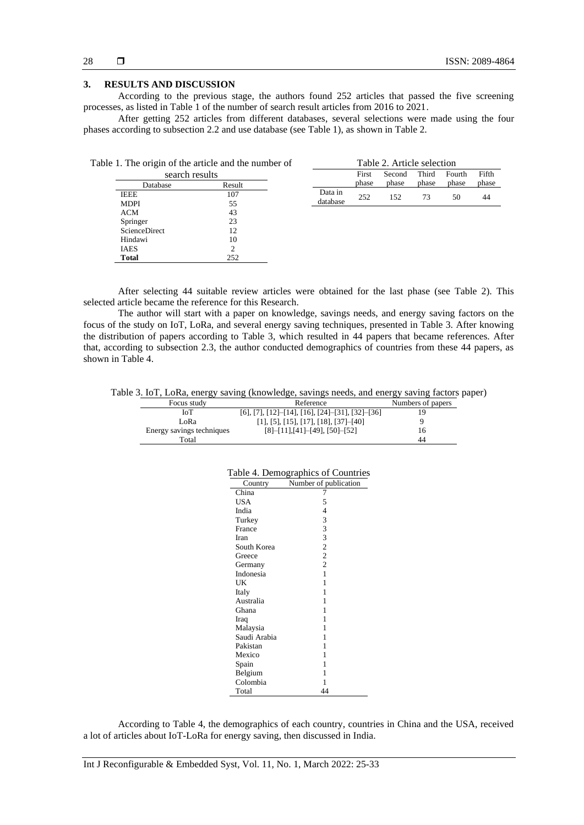#### **3. RESULTS AND DISCUSSION**

According to the previous stage, the authors found 252 articles that passed the five screening processes, as listed in Table 1 of the number of search result articles from 2016 to 2021.

After getting 252 articles from different databases, several selections were made using the four phases according to subsection 2.2 and use database (see Table 1), as shown in Table 2.

|                      | Table 1. The origin of the article and the number of |          |       | Table 2. Article selection |       |        |       |
|----------------------|------------------------------------------------------|----------|-------|----------------------------|-------|--------|-------|
| search results       |                                                      |          | First | Second                     | Third | Fourth | Fifth |
| Database             | Result                                               |          | phase | phase                      | phase | phase  | phase |
| <b>IEEE</b>          | 107                                                  | Data in  | 252   | 152                        | 73    | 50     | 44    |
| <b>MDPI</b>          | 55                                                   | database |       |                            |       |        |       |
| ACM                  | 43                                                   |          |       |                            |       |        |       |
| Springer             | 23                                                   |          |       |                            |       |        |       |
| <b>ScienceDirect</b> | 12                                                   |          |       |                            |       |        |       |
| Hindawi              | 10                                                   |          |       |                            |       |        |       |
| <b>IAES</b>          | $\mathcal{P}$                                        |          |       |                            |       |        |       |
| <b>Total</b>         | 252                                                  |          |       |                            |       |        |       |

After selecting 44 suitable review articles were obtained for the last phase (see Table 2). This selected article became the reference for this Research.

The author will start with a paper on knowledge, savings needs, and energy saving factors on the focus of the study on IoT, LoRa, and several energy saving techniques, presented in Table 3. After knowing the distribution of papers according to Table 3, which resulted in 44 papers that became references. After that, according to subsection 2.3, the author conducted demographics of countries from these 44 papers, as shown in Table 4.

Table 3. IoT, LoRa, energy saving (knowledge, savings needs, and energy saving factors paper)

| 0                         |                                                    |                   |
|---------------------------|----------------------------------------------------|-------------------|
| Focus study               | Reference                                          | Numbers of papers |
| ЮT                        | $[6]$ , [7], [12]-[14], [16], [24]-[31], [32]-[36] |                   |
| LoRa                      | $[1]$ , [5], [15], [17], [18], [37]-[40]           |                   |
| Energy savings techniques | $[8]-[11], [41]-[49], [50]-[52]$                   | 16                |
| Total                     |                                                    | 44                |

|  | Table 4. Demographics of Countries |  |  |  |  |
|--|------------------------------------|--|--|--|--|
|--|------------------------------------|--|--|--|--|

| Country      | Number of publication                           |
|--------------|-------------------------------------------------|
| China        | 7                                               |
| <b>USA</b>   | 5                                               |
| India        |                                                 |
| Turkey       |                                                 |
| France       | $\begin{array}{c} 4 \\ 3 \\ 3 \\ 3 \end{array}$ |
| Iran         |                                                 |
| South Korea  | $\overline{c}$                                  |
| Greece       | $\overline{c}$                                  |
| Germany      | $\overline{2}$                                  |
| Indonesia    | 1                                               |
| UK           | 1                                               |
| Italy        | 1                                               |
| Australia    | 1                                               |
| Ghana        | 1                                               |
| Iraq         | 1                                               |
| Malaysia     | 1                                               |
| Saudi Arabia | 1                                               |
| Pakistan     | 1                                               |
| Mexico       | 1                                               |
| Spain        | 1                                               |
| Belgium      | 1                                               |
| Colombia     | 1                                               |
| Total        | 44                                              |

According to Table 4, the demographics of each country, countries in China and the USA, received a lot of articles about IoT-LoRa for energy saving, then discussed in India.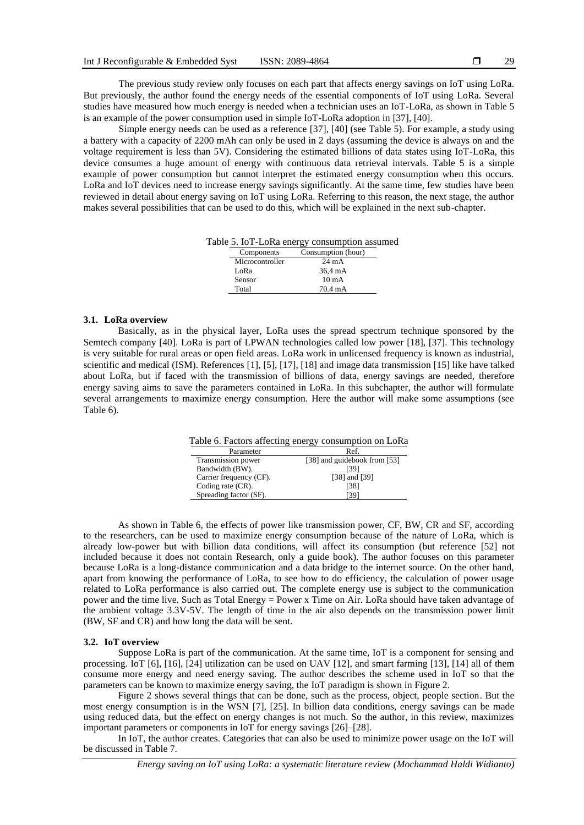The previous study review only focuses on each part that affects energy savings on IoT using LoRa. But previously, the author found the energy needs of the essential components of IoT using LoRa. Several studies have measured how much energy is needed when a technician uses an IoT-LoRa, as shown in Table 5 is an example of the power consumption used in simple IoT-LoRa adoption in [37], [40].

Simple energy needs can be used as a reference [37], [40] (see Table 5). For example, a study using a battery with a capacity of 2200 mAh can only be used in 2 days (assuming the device is always on and the voltage requirement is less than 5V). Considering the estimated billions of data states using IoT-LoRa, this device consumes a huge amount of energy with continuous data retrieval intervals. Table 5 is a simple example of power consumption but cannot interpret the estimated energy consumption when this occurs. LoRa and IoT devices need to increase energy savings significantly. At the same time, few studies have been reviewed in detail about energy saving on IoT using LoRa. Referring to this reason, the next stage, the author makes several possibilities that can be used to do this, which will be explained in the next sub-chapter.

Table 5. IoT-LoRa energy consumption assumed

| Components      | Consumption (hour) |
|-----------------|--------------------|
| Microcontroller | $24 \text{ mA}$    |
| LoRa            | 36,4 mA            |
| Sensor          | $10 \text{ mA}$    |
| Total           | 70.4 mA            |

#### **3.1. LoRa overview**

Basically, as in the physical layer, LoRa uses the spread spectrum technique sponsored by the Semtech company [40]. LoRa is part of LPWAN technologies called low power [18], [37]. This technology is very suitable for rural areas or open field areas. LoRa work in unlicensed frequency is known as industrial, scientific and medical (ISM). References [1], [5], [17], [18] and image data transmission [15] like have talked about LoRa, but if faced with the transmission of billions of data, energy savings are needed, therefore energy saving aims to save the parameters contained in LoRa. In this subchapter, the author will formulate several arrangements to maximize energy consumption. Here the author will make some assumptions (see Table 6).

| Table 6. Factors affecting energy consumption on LoRa |                              |  |  |  |
|-------------------------------------------------------|------------------------------|--|--|--|
| Parameter                                             | Ref.                         |  |  |  |
| Transmission power                                    | [38] and guidebook from [53] |  |  |  |
| Bandwidth (BW).                                       | [39]                         |  |  |  |
| Carrier frequency (CF).                               | [38] and [39]                |  |  |  |
| Coding rate (CR).                                     | [38]                         |  |  |  |
| Spreading factor (SF).                                | [39]                         |  |  |  |

As shown in Table 6, the effects of power like transmission power, CF, BW, CR and SF, according to the researchers, can be used to maximize energy consumption because of the nature of LoRa, which is already low-power but with billion data conditions, will affect its consumption (but reference [52] not included because it does not contain Research, only a guide book). The author focuses on this parameter because LoRa is a long-distance communication and a data bridge to the internet source. On the other hand, apart from knowing the performance of LoRa, to see how to do efficiency, the calculation of power usage related to LoRa performance is also carried out. The complete energy use is subject to the communication power and the time live. Such as Total Energy = Power x Time on Air. LoRa should have taken advantage of the ambient voltage 3.3V-5V. The length of time in the air also depends on the transmission power limit (BW, SF and CR) and how long the data will be sent.

#### **3.2. IoT overview**

Suppose LoRa is part of the communication. At the same time, IoT is a component for sensing and processing. IoT [6], [16], [24] utilization can be used on UAV [12], and smart farming [13], [14] all of them consume more energy and need energy saving. The author describes the scheme used in IoT so that the parameters can be known to maximize energy saving, the IoT paradigm is shown in Figure 2.

Figure 2 shows several things that can be done, such as the process, object, people section. But the most energy consumption is in the WSN [7], [25]. In billion data conditions, energy savings can be made using reduced data, but the effect on energy changes is not much. So the author, in this review, maximizes important parameters or components in IoT for energy savings [26]–[28].

In IoT, the author creates. Categories that can also be used to minimize power usage on the IoT will be discussed in Table 7.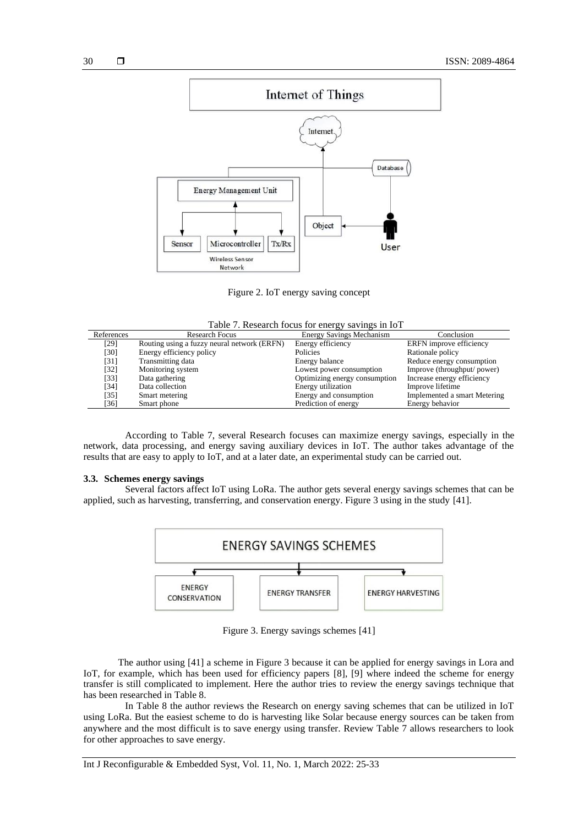

Figure 2. IoT energy saving concept

| Table 7. Research focus for energy savings in IoT |  |  |  |
|---------------------------------------------------|--|--|--|
|                                                   |  |  |  |

| References | <b>Research Focus</b>                       | <b>Energy Savings Mechanism</b> | Conclusion                   |
|------------|---------------------------------------------|---------------------------------|------------------------------|
| [29]       | Routing using a fuzzy neural network (ERFN) | Energy efficiency               | ERFN improve efficiency      |
| [30]       | Energy efficiency policy                    | <b>Policies</b>                 | Rationale policy             |
| [31]       | Transmitting data                           | Energy balance                  | Reduce energy consumption    |
| [32]       | Monitoring system                           | Lowest power consumption        | Improve (throughput/ power)  |
| $[33]$     | Data gathering                              | Optimizing energy consumption   | Increase energy efficiency   |
| [34]       | Data collection                             | Energy utilization              | Improve lifetime             |
| [35]       | Smart metering                              | Energy and consumption          | Implemented a smart Metering |
| [36]       | Smart phone                                 | Prediction of energy            | Energy behavior              |

According to Table 7, several Research focuses can maximize energy savings, especially in the network, data processing, and energy saving auxiliary devices in IoT. The author takes advantage of the results that are easy to apply to IoT, and at a later date, an experimental study can be carried out.

## **3.3. Schemes energy savings**

Several factors affect IoT using LoRa. The author gets several energy savings schemes that can be applied, such as harvesting, transferring, and conservation energy. Figure 3 using in the study [41].



Figure 3. Energy savings schemes [41]

The author using [41] a scheme in Figure 3 because it can be applied for energy savings in Lora and IoT, for example, which has been used for efficiency papers [8], [9] where indeed the scheme for energy transfer is still complicated to implement. Here the author tries to review the energy savings technique that has been researched in Table 8.

In Table 8 the author reviews the Research on energy saving schemes that can be utilized in IoT using LoRa. But the easiest scheme to do is harvesting like Solar because energy sources can be taken from anywhere and the most difficult is to save energy using transfer. Review Table 7 allows researchers to look for other approaches to save energy.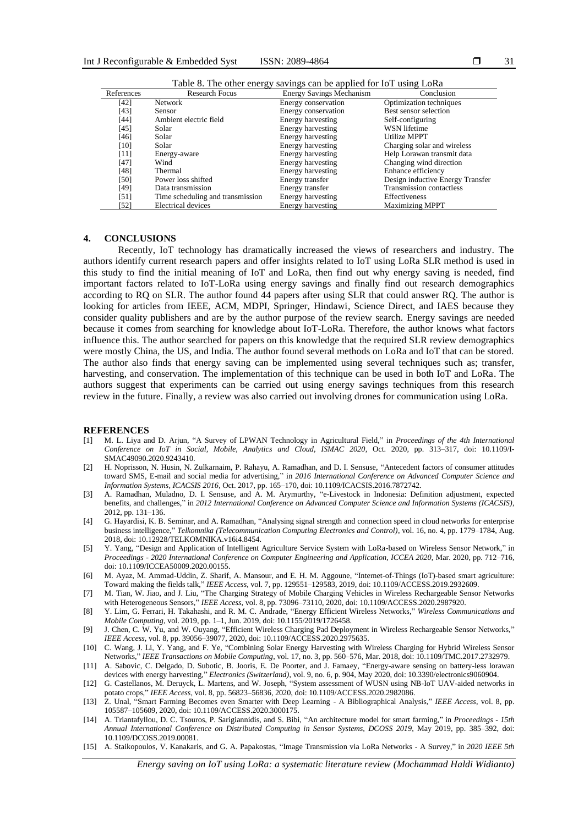|            | Table 8. The other energy savings can be applied for 101 using LoRa |                                 |                                  |  |  |  |
|------------|---------------------------------------------------------------------|---------------------------------|----------------------------------|--|--|--|
| References | <b>Research Focus</b>                                               | <b>Energy Savings Mechanism</b> | Conclusion                       |  |  |  |
| [42]       | <b>Network</b>                                                      | Energy conservation             | Optimization techniques          |  |  |  |
| [43]       | Sensor                                                              | Energy conservation             | Best sensor selection            |  |  |  |
| [44]       | Ambient electric field                                              | Energy harvesting               | Self-configuring                 |  |  |  |
| [45]       | Solar                                                               | Energy harvesting               | WSN lifetime                     |  |  |  |
| [46]       | Solar                                                               | Energy harvesting               | Utilize MPPT                     |  |  |  |
| [10]       | Solar                                                               | Energy harvesting               | Charging solar and wireless      |  |  |  |
| [11]       | Energy-aware                                                        | Energy harvesting               | Help Lorawan transmit data       |  |  |  |
| [47]       | Wind                                                                | Energy harvesting               | Changing wind direction          |  |  |  |
| [48]       | Thermal                                                             | Energy harvesting               | Enhance efficiency               |  |  |  |
| [50]       | Power loss shifted                                                  | Energy transfer                 | Design inductive Energy Transfer |  |  |  |
| [49]       | Data transmission                                                   | Energy transfer                 | <b>Transmission contactless</b>  |  |  |  |
| [51]       | Time scheduling and transmission                                    | Energy harvesting               | Effectiveness                    |  |  |  |
| [52]       | Electrical devices                                                  | Energy harvesting               | <b>Maximizing MPPT</b>           |  |  |  |

Table 8. The other energy savings can be applied for IoT using LoRa

#### **4. CONCLUSIONS**

Recently, IoT technology has dramatically increased the views of researchers and industry. The authors identify current research papers and offer insights related to IoT using LoRa SLR method is used in this study to find the initial meaning of IoT and LoRa, then find out why energy saving is needed, find important factors related to IoT-LoRa using energy savings and finally find out research demographics according to RQ on SLR. The author found 44 papers after using SLR that could answer RQ. The author is looking for articles from IEEE, ACM, MDPI, Springer, Hindawi, Science Direct, and IAES because they consider quality publishers and are by the author purpose of the review search. Energy savings are needed because it comes from searching for knowledge about IoT-LoRa. Therefore, the author knows what factors influence this. The author searched for papers on this knowledge that the required SLR review demographics were mostly China, the US, and India. The author found several methods on LoRa and IoT that can be stored. The author also finds that energy saving can be implemented using several techniques such as; transfer, harvesting, and conservation. The implementation of this technique can be used in both IoT and LoRa. The authors suggest that experiments can be carried out using energy savings techniques from this research review in the future. Finally, a review was also carried out involving drones for communication using LoRa.

#### **REFERENCES**

- [1] M. L. Liya and D. Arjun, "A Survey of LPWAN Technology in Agricultural Field," in *Proceedings of the 4th International Conference on IoT in Social, Mobile, Analytics and Cloud, ISMAC 2020*, Oct. 2020, pp. 313–317, doi: 10.1109/I-SMAC49090.2020.9243410.
- [2] H. Noprisson, N. Husin, N. Zulkarnaim, P. Rahayu, A. Ramadhan, and D. I. Sensuse, "Antecedent factors of consumer attitudes toward SMS, E-mail and social media for advertising," in *2016 International Conference on Advanced Computer Science and Information Systems, ICACSIS 2016*, Oct. 2017, pp. 165–170, doi: 10.1109/ICACSIS.2016.7872742.
- [3] A. Ramadhan, Muladno, D. I. Sensuse, and A. M. Arymurthy, "e-Livestock in Indonesia: Definition adjustment, expected benefits, and challenges," in *2012 International Conference on Advanced Computer Science and Information Systems (ICACSIS)*, 2012, pp. 131–136.
- [4] G. Hayardisi, K. B. Seminar, and A. Ramadhan, "Analysing signal strength and connection speed in cloud networks for enterprise business intelligence," *Telkomnika (Telecommunication Computing Electronics and Control)*, vol. 16, no. 4, pp. 1779–1784, Aug. 2018, doi: 10.12928/TELKOMNIKA.v16i4.8454.
- [5] Y. Yang, "Design and Application of Intelligent Agriculture Service System with LoRa-based on Wireless Sensor Network," in *Proceedings - 2020 International Conference on Computer Engineering and Application, ICCEA 2020*, Mar. 2020, pp. 712–716, doi: 10.1109/ICCEA50009.2020.00155.
- [6] M. Ayaz, M. Ammad-Uddin, Z. Sharif, A. Mansour, and E. H. M. Aggoune, "Internet-of-Things (IoT)-based smart agriculture: Toward making the fields talk," *IEEE Access*, vol. 7, pp. 129551–129583, 2019, doi: 10.1109/ACCESS.2019.2932609.
- [7] M. Tian, W. Jiao, and J. Liu, "The Charging Strategy of Mobile Charging Vehicles in Wireless Rechargeable Sensor Networks with Heterogeneous Sensors," *IEEE Access*, vol. 8, pp. 73096–73110, 2020, doi: 10.1109/ACCESS.2020.2987920.
- [8] Y. Lim, G. Ferrari, H. Takahashi, and R. M. C. Andrade, "Energy Efficient Wireless Networks," *Wireless Communications and Mobile Computing*, vol. 2019, pp. 1–1, Jun. 2019, doi: 10.1155/2019/1726458.
- [9] J. Chen, C. W. Yu, and W. Ouyang, "Efficient Wireless Charging Pad Deployment in Wireless Rechargeable Sensor Networks," *IEEE Access*, vol. 8, pp. 39056–39077, 2020, doi: 10.1109/ACCESS.2020.2975635.
- [10] C. Wang, J. Li, Y. Yang, and F. Ye, "Combining Solar Energy Harvesting with Wireless Charging for Hybrid Wireless Sensor Networks," *IEEE Transactions on Mobile Computing*, vol. 17, no. 3, pp. 560–576, Mar. 2018, doi: 10.1109/TMC.2017.2732979.
- [11] A. Sabovic, C. Delgado, D. Subotic, B. Jooris, E. De Poorter, and J. Famaey, "Energy-aware sensing on battery-less lorawan devices with energy harvesting," *Electronics (Switzerland)*, vol. 9, no. 6, p. 904, May 2020, doi: 10.3390/electronics9060904.
- [12] G. Castellanos, M. Deruyck, L. Martens, and W. Joseph, "System assessment of WUSN using NB-IoT UAV-aided networks in potato crops," *IEEE Access*, vol. 8, pp. 56823–56836, 2020, doi: 10.1109/ACCESS.2020.2982086.
- [13] Z. Unal, "Smart Farming Becomes even Smarter with Deep Learning A Bibliographical Analysis," *IEEE Access*, vol. 8, pp. 105587–105609, 2020, doi: 10.1109/ACCESS.2020.3000175.
- [14] A. Triantafyllou, D. C. Tsouros, P. Sarigiannidis, and S. Bibi, "An architecture model for smart farming," in *Proceedings - 15th Annual International Conference on Distributed Computing in Sensor Systems, DCOSS 2019*, May 2019, pp. 385–392, doi: 10.1109/DCOSS.2019.00081.
- [15] A. Staikopoulos, V. Kanakaris, and G. A. Papakostas, "Image Transmission via LoRa Networks A Survey," in *2020 IEEE 5th*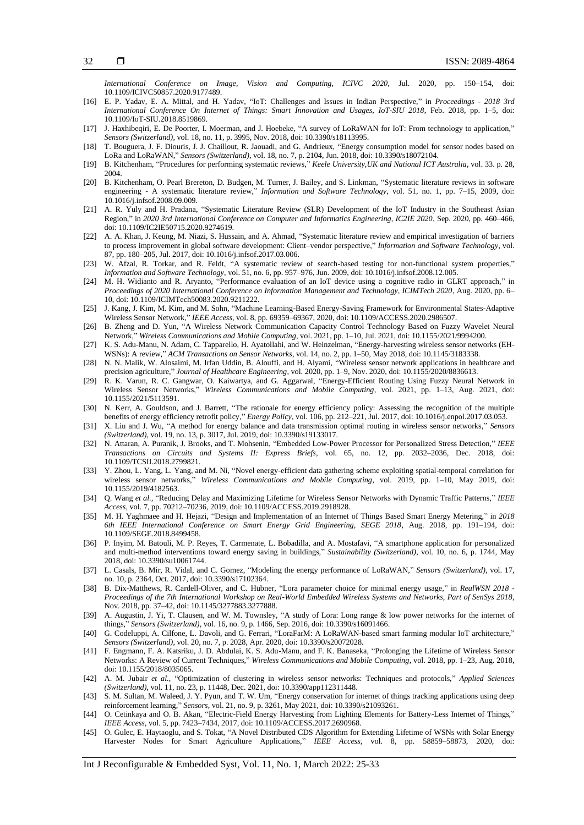*International Conference on Image, Vision and Computing, ICIVC 2020*, Jul. 2020, pp. 150–154, doi: 10.1109/ICIVC50857.2020.9177489.

- [16] E. P. Yadav, E. A. Mittal, and H. Yadav, "IoT: Challenges and Issues in Indian Perspective," in *Proceedings - 2018 3rd International Conference On Internet of Things: Smart Innovation and Usages, IoT-SIU 2018*, Feb. 2018, pp. 1–5, doi: 10.1109/IoT-SIU.2018.8519869.
- [17] J. Haxhibeqiri, E. De Poorter, I. Moerman, and J. Hoebeke, "A survey of LoRaWAN for IoT: From technology to application," *Sensors (Switzerland)*, vol. 18, no. 11, p. 3995, Nov. 2018, doi: 10.3390/s18113995.
- [18] T. Bouguera, J. F. Diouris, J. J. Chaillout, R. Jaouadi, and G. Andrieux, "Energy consumption model for sensor nodes based on LoRa and LoRaWAN," *Sensors (Switzerland)*, vol. 18, no. 7, p. 2104, Jun. 2018, doi: 10.3390/s18072104.
- [19] B. Kitchenham, "Procedures for performing systematic reviews," *Keele University,UK and National ICT Australia*, vol. 33. p. 28, 2004.
- [20] B. Kitchenham, O. Pearl Brereton, D. Budgen, M. Turner, J. Bailey, and S. Linkman, "Systematic literature reviews in software engineering - A systematic literature review," *Information and Software Technology*, vol. 51, no. 1, pp. 7–15, 2009, doi: 10.1016/j.infsof.2008.09.009.
- [21] A. R. Yuly and H. Pradana, "Systematic Literature Review (SLR) Development of the IoT Industry in the Southeast Asian Region," in *2020 3rd International Conference on Computer and Informatics Engineering, IC2IE 2020*, Sep. 2020, pp. 460–466, doi: 10.1109/IC2IE50715.2020.9274619.
- [22] A. A. Khan, J. Keung, M. Niazi, S. Hussain, and A. Ahmad, "Systematic literature review and empirical investigation of barriers to process improvement in global software development: Client–vendor perspective," *Information and Software Technology*, vol. 87, pp. 180–205, Jul. 2017, doi: 10.1016/j.infsof.2017.03.006.
- [23] W. Afzal, R. Torkar, and R. Feldt, "A systematic review of search-based testing for non-functional system properties," *Information and Software Technology*, vol. 51, no. 6, pp. 957–976, Jun. 2009, doi: 10.1016/j.infsof.2008.12.005.
- [24] M. H. Widianto and R. Aryanto, "Performance evaluation of an IoT device using a cognitive radio in GLRT approach," in *Proceedings of 2020 International Conference on Information Management and Technology, ICIMTech 2020*, Aug. 2020, pp. 6– 10, doi: 10.1109/ICIMTech50083.2020.9211222.
- [25] J. Kang, J. Kim, M. Kim, and M. Sohn, "Machine Learning-Based Energy-Saving Framework for Environmental States-Adaptive Wireless Sensor Network," *IEEE Access*, vol. 8, pp. 69359–69367, 2020, doi: 10.1109/ACCESS.2020.2986507.
- [26] B. Zheng and D. Yun, "A Wireless Network Communication Capacity Control Technology Based on Fuzzy Wavelet Neural Network," *Wireless Communications and Mobile Computing*, vol. 2021, pp. 1–10, Jul. 2021, doi: 10.1155/2021/9994200.
- [27] K. S. Adu-Manu, N. Adam, C. Tapparello, H. Ayatollahi, and W. Heinzelman, "Energy-harvesting wireless sensor networks (EH-WSNs): A review," *ACM Transactions on Sensor Networks*, vol. 14, no. 2, pp. 1–50, May 2018, doi: 10.1145/3183338.
- [28] N. N. Malik, W. Alosaimi, M. Irfan Uddin, B. Alouffi, and H. Alyami, "Wireless sensor network applications in healthcare and precision agriculture," *Journal of Healthcare Engineering*, vol. 2020, pp. 1–9, Nov. 2020, doi: 10.1155/2020/8836613.
- [29] R. K. Varun, R. C. Gangwar, O. Kaiwartya, and G. Aggarwal, "Energy-Efficient Routing Using Fuzzy Neural Network in Wireless Sensor Networks," *Wireless Communications and Mobile Computing*, vol. 2021, pp. 1–13, Aug. 2021, doi: 10.1155/2021/5113591.
- [30] N. Kerr, A. Gouldson, and J. Barrett, "The rationale for energy efficiency policy: Assessing the recognition of the multiple benefits of energy efficiency retrofit policy," *Energy Policy*, vol. 106, pp. 212–221, Jul. 2017, doi: 10.1016/j.enpol.2017.03.053.
- [31] X. Liu and J. Wu, "A method for energy balance and data transmission optimal routing in wireless sensor networks," *Sensors (Switzerland)*, vol. 19, no. 13, p. 3017, Jul. 2019, doi: 10.3390/s19133017.
- [32] N. Attaran, A. Puranik, J. Brooks, and T. Mohsenin, "Embedded Low-Power Processor for Personalized Stress Detection," *IEEE Transactions on Circuits and Systems II: Express Briefs*, vol. 65, no. 12, pp. 2032–2036, Dec. 2018, doi: 10.1109/TCSII.2018.2799821.
- [33] Y. Zhou, L. Yang, L. Yang, and M. Ni, "Novel energy-efficient data gathering scheme exploiting spatial-temporal correlation for wireless sensor networks," *Wireless Communications and Mobile Computing*, vol. 2019, pp. 1–10, May 2019, doi: 10.1155/2019/4182563.
- [34] Q. Wang *et al.*, "Reducing Delay and Maximizing Lifetime for Wireless Sensor Networks with Dynamic Traffic Patterns," *IEEE Access*, vol. 7, pp. 70212–70236, 2019, doi: 10.1109/ACCESS.2019.2918928.
- [35] M. H. Yaghmaee and H. Hejazi, "Design and Implementation of an Internet of Things Based Smart Energy Metering," in *2018 6th IEEE International Conference on Smart Energy Grid Engineering, SEGE 2018*, Aug. 2018, pp. 191–194, doi: 10.1109/SEGE.2018.8499458.
- [36] P. Inyim, M. Batouli, M. P. Reyes, T. Carmenate, L. Bobadilla, and A. Mostafavi, "A smartphone application for personalized and multi-method interventions toward energy saving in buildings," *Sustainability (Switzerland)*, vol. 10, no. 6, p. 1744, May 2018, doi: 10.3390/su10061744.
- [37] L. Casals, B. Mir, R. Vidal, and C. Gomez, "Modeling the energy performance of LoRaWAN," *Sensors (Switzerland)*, vol. 17, no. 10, p. 2364, Oct. 2017, doi: 10.3390/s17102364.
- [38] B. Dix-Matthews, R. Cardell-Oliver, and C. Hübner, "Lora parameter choice for minimal energy usage," in *RealWSN 2018 - Proceedings of the 7th International Workshop on Real-World Embedded Wireless Systems and Networks, Part of SenSys 2018*, Nov. 2018, pp. 37–42, doi: 10.1145/3277883.3277888.
- [39] A. Augustin, J. Yi, T. Clausen, and W. M. Townsley, "A study of Lora: Long range & low power networks for the internet of things," *Sensors (Switzerland)*, vol. 16, no. 9, p. 1466, Sep. 2016, doi: 10.3390/s16091466.
- [40] G. Codeluppi, A. Cilfone, L. Davoli, and G. Ferrari, "LoraFarM: A LoRaWAN-based smart farming modular IoT architecture," *Sensors (Switzerland)*, vol. 20, no. 7, p. 2028, Apr. 2020, doi: 10.3390/s20072028.
- [41] F. Engmann, F. A. Katsriku, J. D. Abdulai, K. S. Adu-Manu, and F. K. Banaseka, "Prolonging the Lifetime of Wireless Sensor Networks: A Review of Current Techniques," *Wireless Communications and Mobile Computing*, vol. 2018, pp. 1–23, Aug. 2018, doi: 10.1155/2018/8035065.
- [42] A. M. Jubair *et al.*, "Optimization of clustering in wireless sensor networks: Techniques and protocols," *Applied Sciences (Switzerland)*, vol. 11, no. 23, p. 11448, Dec. 2021, doi: 10.3390/app112311448.
- [43] S. M. Sultan, M. Waleed, J. Y. Pyun, and T. W. Um, "Energy conservation for internet of things tracking applications using deep reinforcement learning," *Sensors*, vol. 21, no. 9, p. 3261, May 2021, doi: 10.3390/s21093261.
- [44] O. Cetinkaya and O. B. Akan, "Electric-Field Energy Harvesting from Lighting Elements for Battery-Less Internet of Things," *IEEE Access*, vol. 5, pp. 7423–7434, 2017, doi: 10.1109/ACCESS.2017.2690968.
- [45] O. Gulec, E. Haytaoglu, and S. Tokat, "A Novel Distributed CDS Algorithm for Extending Lifetime of WSNs with Solar Energy Harvester Nodes for Smart Agriculture Applications," *IEEE Access*, vol. 8, pp. 58859–58873, 2020, doi: